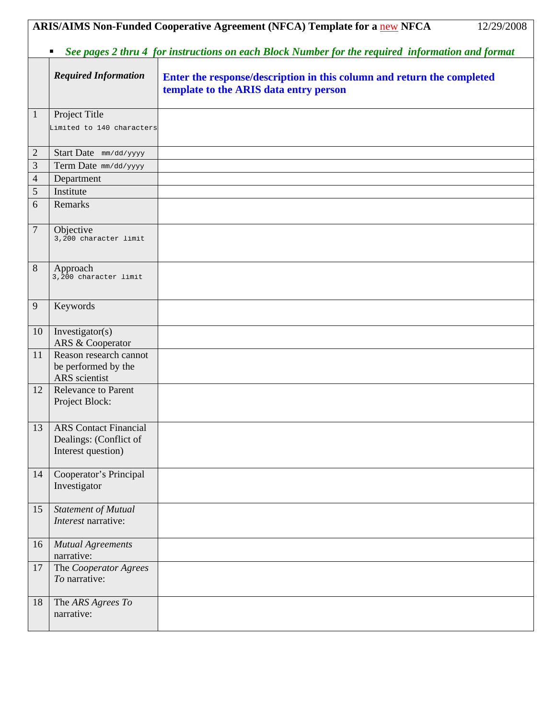|                |                                                                              | ARIS/AIMS Non-Funded Cooperative Agreement (NFCA) Template for a new NFCA<br>12/29/2008                          |
|----------------|------------------------------------------------------------------------------|------------------------------------------------------------------------------------------------------------------|
|                | ٠                                                                            | See pages 2 thru 4 for instructions on each Block Number for the required information and format                 |
|                | <b>Required Information</b>                                                  | Enter the response/description in this column and return the completed<br>template to the ARIS data entry person |
| $\mathbf{1}$   | Project Title<br>Limited to 140 characters                                   |                                                                                                                  |
| $\mathbf{2}$   | Start Date mm/dd/yyyy                                                        |                                                                                                                  |
| $\mathfrak{Z}$ | Term Date mm/dd/yyyy                                                         |                                                                                                                  |
| $\overline{4}$ | Department                                                                   |                                                                                                                  |
| 5              | Institute                                                                    |                                                                                                                  |
| 6              | Remarks                                                                      |                                                                                                                  |
| $\overline{7}$ | Objective<br>3,200 character limit                                           |                                                                                                                  |
| 8              | Approach<br>3,200 character limit                                            |                                                                                                                  |
| 9              | Keywords                                                                     |                                                                                                                  |
| 10             | Investigator(s)<br>ARS & Cooperator                                          |                                                                                                                  |
| 11             | Reason research cannot<br>be performed by the<br>ARS scientist               |                                                                                                                  |
| 12             | <b>Relevance to Parent</b><br>Project Block:                                 |                                                                                                                  |
| 13             | <b>ARS</b> Contact Financial<br>Dealings: (Conflict of<br>Interest question) |                                                                                                                  |
| 14             | Cooperator's Principal<br>Investigator                                       |                                                                                                                  |
| 15             | Statement of Mutual<br>Interest narrative:                                   |                                                                                                                  |
| 16             | <b>Mutual Agreements</b><br>narrative:                                       |                                                                                                                  |
| 17             | The Cooperator Agrees<br>To narrative:                                       |                                                                                                                  |
| 18             | The ARS Agrees To<br>narrative:                                              |                                                                                                                  |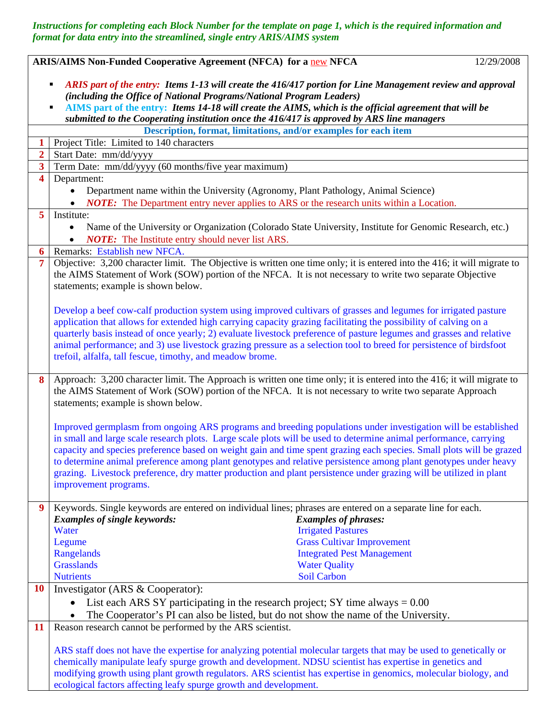*Instructions for completing each Block Number for the template on page 1, which is the required information and format for data entry into the streamlined, single entry ARIS/AIMS system* 

|                         | ARIS/AIMS Non-Funded Cooperative Agreement (NFCA) for a new NFCA<br>12/29/2008                                                                                                                                                                                                                                                                                                                                                                                                                                                                                                                                               |
|-------------------------|------------------------------------------------------------------------------------------------------------------------------------------------------------------------------------------------------------------------------------------------------------------------------------------------------------------------------------------------------------------------------------------------------------------------------------------------------------------------------------------------------------------------------------------------------------------------------------------------------------------------------|
|                         | ARIS part of the entry: Items 1-13 will create the 416/417 portion for Line Management review and approval<br>(including the Office of National Programs/National Program Leaders)<br>AIMS part of the entry: Items 14-18 will create the AIMS, which is the official agreement that will be<br>submitted to the Cooperating institution once the 416/417 is approved by ARS line managers                                                                                                                                                                                                                                   |
|                         | Description, format, limitations, and/or examples for each item                                                                                                                                                                                                                                                                                                                                                                                                                                                                                                                                                              |
| $\mathbf{1}$            | Project Title: Limited to 140 characters                                                                                                                                                                                                                                                                                                                                                                                                                                                                                                                                                                                     |
| $\overline{2}$          | Start Date: mm/dd/yyyy                                                                                                                                                                                                                                                                                                                                                                                                                                                                                                                                                                                                       |
| $\overline{\mathbf{3}}$ | Term Date: mm/dd/yyyy (60 months/five year maximum)                                                                                                                                                                                                                                                                                                                                                                                                                                                                                                                                                                          |
| $\overline{\mathbf{4}}$ | Department:                                                                                                                                                                                                                                                                                                                                                                                                                                                                                                                                                                                                                  |
|                         | Department name within the University (Agronomy, Plant Pathology, Animal Science)                                                                                                                                                                                                                                                                                                                                                                                                                                                                                                                                            |
|                         | <b>NOTE:</b> The Department entry never applies to ARS or the research units within a Location.                                                                                                                                                                                                                                                                                                                                                                                                                                                                                                                              |
| 5                       | Institute:                                                                                                                                                                                                                                                                                                                                                                                                                                                                                                                                                                                                                   |
|                         | Name of the University or Organization (Colorado State University, Institute for Genomic Research, etc.)                                                                                                                                                                                                                                                                                                                                                                                                                                                                                                                     |
|                         | <b>NOTE:</b> The Institute entry should never list ARS.                                                                                                                                                                                                                                                                                                                                                                                                                                                                                                                                                                      |
| 6                       | Remarks: Establish new NFCA.                                                                                                                                                                                                                                                                                                                                                                                                                                                                                                                                                                                                 |
| 7                       | Objective: 3,200 character limit. The Objective is written one time only; it is entered into the 416; it will migrate to<br>the AIMS Statement of Work (SOW) portion of the NFCA. It is not necessary to write two separate Objective<br>statements; example is shown below.                                                                                                                                                                                                                                                                                                                                                 |
|                         | Develop a beef cow-calf production system using improved cultivars of grasses and legumes for irrigated pasture<br>application that allows for extended high carrying capacity grazing facilitating the possibility of calving on a<br>quarterly basis instead of once yearly; 2) evaluate livestock preference of pasture legumes and grasses and relative<br>animal performance; and 3) use livestock grazing pressure as a selection tool to breed for persistence of birdsfoot<br>trefoil, alfalfa, tall fescue, timothy, and meadow brome.                                                                              |
| 8                       | Approach: 3,200 character limit. The Approach is written one time only; it is entered into the 416; it will migrate to<br>the AIMS Statement of Work (SOW) portion of the NFCA. It is not necessary to write two separate Approach<br>statements; example is shown below.                                                                                                                                                                                                                                                                                                                                                    |
|                         | Improved germplasm from ongoing ARS programs and breeding populations under investigation will be established<br>in small and large scale research plots. Large scale plots will be used to determine animal performance, carrying<br>capacity and species preference based on weight gain and time spent grazing each species. Small plots will be grazed<br>to determine animal preference among plant genotypes and relative persistence among plant genotypes under heavy<br>grazing. Livestock preference, dry matter production and plant persistence under grazing will be utilized in plant<br>improvement programs. |
| 9                       | Keywords. Single keywords are entered on individual lines; phrases are entered on a separate line for each.                                                                                                                                                                                                                                                                                                                                                                                                                                                                                                                  |
|                         | <b>Examples of single keywords:</b><br><b>Examples of phrases:</b>                                                                                                                                                                                                                                                                                                                                                                                                                                                                                                                                                           |
|                         | Water<br><b>Irrigated Pastures</b>                                                                                                                                                                                                                                                                                                                                                                                                                                                                                                                                                                                           |
|                         | <b>Grass Cultivar Improvement</b><br>Legume                                                                                                                                                                                                                                                                                                                                                                                                                                                                                                                                                                                  |
|                         | Rangelands<br><b>Integrated Pest Management</b>                                                                                                                                                                                                                                                                                                                                                                                                                                                                                                                                                                              |
|                         | <b>Grasslands</b><br><b>Water Quality</b>                                                                                                                                                                                                                                                                                                                                                                                                                                                                                                                                                                                    |
|                         | Soil Carbon<br><b>Nutrients</b>                                                                                                                                                                                                                                                                                                                                                                                                                                                                                                                                                                                              |
| <b>10</b>               | Investigator (ARS & Cooperator):                                                                                                                                                                                                                                                                                                                                                                                                                                                                                                                                                                                             |
|                         | List each ARS SY participating in the research project; SY time always $= 0.00$                                                                                                                                                                                                                                                                                                                                                                                                                                                                                                                                              |
|                         | The Cooperator's PI can also be listed, but do not show the name of the University.                                                                                                                                                                                                                                                                                                                                                                                                                                                                                                                                          |
| <b>11</b>               | Reason research cannot be performed by the ARS scientist.                                                                                                                                                                                                                                                                                                                                                                                                                                                                                                                                                                    |
|                         |                                                                                                                                                                                                                                                                                                                                                                                                                                                                                                                                                                                                                              |
|                         | ARS staff does not have the expertise for analyzing potential molecular targets that may be used to genetically or<br>chemically manipulate leafy spurge growth and development. NDSU scientist has expertise in genetics and<br>modifying growth using plant growth regulators. ARS scientist has expertise in genomics, molecular biology, and<br>ecological factors affecting leafy spurge growth and development.                                                                                                                                                                                                        |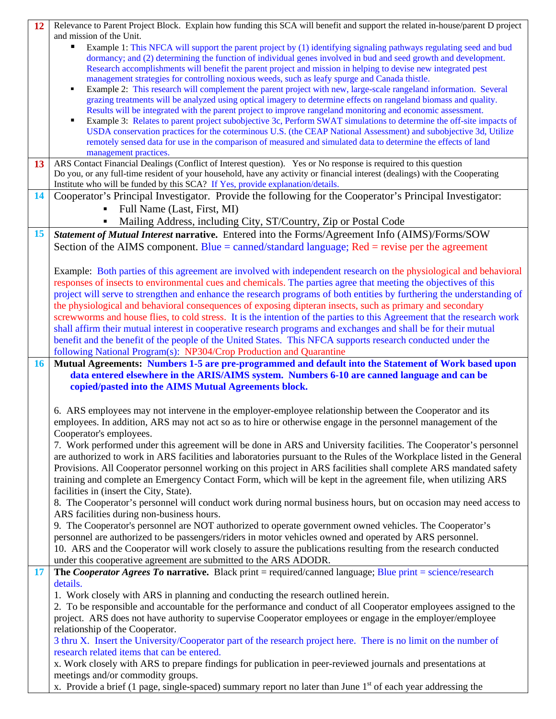| 12 | Relevance to Parent Project Block. Explain how funding this SCA will benefit and support the related in-house/parent D project                                                                                 |
|----|----------------------------------------------------------------------------------------------------------------------------------------------------------------------------------------------------------------|
|    | and mission of the Unit.                                                                                                                                                                                       |
|    | Example 1: This NFCA will support the parent project by (1) identifying signaling pathways regulating seed and bud<br>п                                                                                        |
|    | dormancy; and (2) determining the function of individual genes involved in bud and seed growth and development.                                                                                                |
|    | Research accomplishments will benefit the parent project and mission in helping to devise new integrated pest<br>management strategies for controlling noxious weeds, such as leafy spurge and Canada thistle. |
|    | Example 2: This research will complement the parent project with new, large-scale rangeland information. Several                                                                                               |
|    | grazing treatments will be analyzed using optical imagery to determine effects on rangeland biomass and quality.                                                                                               |
|    | Results will be integrated with the parent project to improve rangeland monitoring and economic assessment.                                                                                                    |
|    | Example 3: Relates to parent project subobjective 3c, Perform SWAT simulations to determine the off-site impacts of                                                                                            |
|    | USDA conservation practices for the coterminous U.S. (the CEAP National Assessment) and subobjective 3d, Utilize                                                                                               |
|    | remotely sensed data for use in the comparison of measured and simulated data to determine the effects of land                                                                                                 |
|    | management practices.                                                                                                                                                                                          |
| 13 | ARS Contact Financial Dealings (Conflict of Interest question). Yes or No response is required to this question                                                                                                |
|    | Do you, or any full-time resident of your household, have any activity or financial interest (dealings) with the Cooperating                                                                                   |
|    | Institute who will be funded by this SCA? If Yes, provide explanation/details.                                                                                                                                 |
| 14 | Cooperator's Principal Investigator. Provide the following for the Cooperator's Principal Investigator:                                                                                                        |
|    | Full Name (Last, First, MI)                                                                                                                                                                                    |
|    | Mailing Address, including City, ST/Country, Zip or Postal Code                                                                                                                                                |
| 15 | Statement of Mutual Interest narrative. Entered into the Forms/Agreement Info (AIMS)/Forms/SOW                                                                                                                 |
|    | Section of the AIMS component. Blue = canned/standard language; Red = revise per the agreement                                                                                                                 |
|    |                                                                                                                                                                                                                |
|    | Example: Both parties of this agreement are involved with independent research on the physiological and behavioral                                                                                             |
|    | responses of insects to environmental cues and chemicals. The parties agree that meeting the objectives of this                                                                                                |
|    | project will serve to strengthen and enhance the research programs of both entities by furthering the understanding of                                                                                         |
|    | the physiological and behavioral consequences of exposing dipteran insects, such as primary and secondary                                                                                                      |
|    | screwworms and house flies, to cold stress. It is the intention of the parties to this Agreement that the research work                                                                                        |
|    | shall affirm their mutual interest in cooperative research programs and exchanges and shall be for their mutual                                                                                                |
|    | benefit and the benefit of the people of the United States. This NFCA supports research conducted under the                                                                                                    |
|    | following National Program(s): NP304/Crop Production and Quarantine                                                                                                                                            |
| 16 |                                                                                                                                                                                                                |
|    | Mutual Agreements: Numbers 1-5 are pre-programmed and default into the Statement of Work based upon                                                                                                            |
|    | data entered elsewhere in the ARIS/AIMS system. Numbers 6-10 are canned language and can be                                                                                                                    |
|    | copied/pasted into the AIMS Mutual Agreements block.                                                                                                                                                           |
|    |                                                                                                                                                                                                                |
|    | 6. ARS employees may not intervene in the employer-employee relationship between the Cooperator and its                                                                                                        |
|    | employees. In addition, ARS may not act so as to hire or otherwise engage in the personnel management of the                                                                                                   |
|    | Cooperator's employees.                                                                                                                                                                                        |
|    | 7. Work performed under this agreement will be done in ARS and University facilities. The Cooperator's personnel                                                                                               |
|    | are authorized to work in ARS facilities and laboratories pursuant to the Rules of the Workplace listed in the General                                                                                         |
|    | Provisions. All Cooperator personnel working on this project in ARS facilities shall complete ARS mandated safety                                                                                              |
|    | training and complete an Emergency Contact Form, which will be kept in the agreement file, when utilizing ARS                                                                                                  |
|    | facilities in (insert the City, State).                                                                                                                                                                        |
|    | 8. The Cooperator's personnel will conduct work during normal business hours, but on occasion may need access to                                                                                               |
|    | ARS facilities during non-business hours.                                                                                                                                                                      |
|    | 9. The Cooperator's personnel are NOT authorized to operate government owned vehicles. The Cooperator's                                                                                                        |
|    | personnel are authorized to be passengers/riders in motor vehicles owned and operated by ARS personnel.                                                                                                        |
|    | 10. ARS and the Cooperator will work closely to assure the publications resulting from the research conducted                                                                                                  |
|    | under this cooperative agreement are submitted to the ARS ADODR.                                                                                                                                               |
| 17 | The Cooperator Agrees To narrative. Black print = required/canned language; Blue print = science/research                                                                                                      |
|    | details.                                                                                                                                                                                                       |
|    | 1. Work closely with ARS in planning and conducting the research outlined herein.                                                                                                                              |
|    | 2. To be responsible and accountable for the performance and conduct of all Cooperator employees assigned to the                                                                                               |
|    | project. ARS does not have authority to supervise Cooperator employees or engage in the employer/employee                                                                                                      |
|    | relationship of the Cooperator.                                                                                                                                                                                |
|    | 3 thru X. Insert the University/Cooperator part of the research project here. There is no limit on the number of                                                                                               |
|    | research related items that can be entered.                                                                                                                                                                    |
|    | x. Work closely with ARS to prepare findings for publication in peer-reviewed journals and presentations at<br>meetings and/or commodity groups.                                                               |